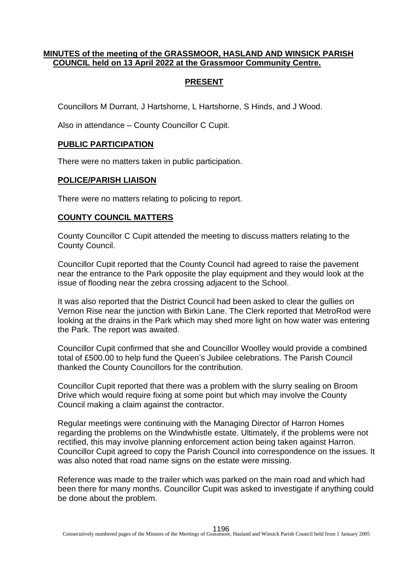# **MINUTES of the meeting of the GRASSMOOR, HASLAND AND WINSICK PARISH COUNCIL held on 13 April 2022 at the Grassmoor Community Centre.**

# **PRESENT**

Councillors M Durrant, J Hartshorne, L Hartshorne, S Hinds, and J Wood.

Also in attendance – County Councillor C Cupit.

## **PUBLIC PARTICIPATION**

There were no matters taken in public participation.

#### **POLICE/PARISH LIAISON**

There were no matters relating to policing to report.

## **COUNTY COUNCIL MATTERS**

County Councillor C Cupit attended the meeting to discuss matters relating to the County Council.

Councillor Cupit reported that the County Council had agreed to raise the pavement near the entrance to the Park opposite the play equipment and they would look at the issue of flooding near the zebra crossing adjacent to the School.

It was also reported that the District Council had been asked to clear the gullies on Vernon Rise near the junction with Birkin Lane. The Clerk reported that MetroRod were looking at the drains in the Park which may shed more light on how water was entering the Park. The report was awaited.

Councillor Cupit confirmed that she and Councillor Woolley would provide a combined total of £500.00 to help fund the Queen's Jubilee celebrations. The Parish Council thanked the County Councillors for the contribution.

Councillor Cupit reported that there was a problem with the slurry sealing on Broom Drive which would require fixing at some point but which may involve the County Council making a claim against the contractor.

Regular meetings were continuing with the Managing Director of Harron Homes regarding the problems on the Windwhistle estate. Ultimately, if the problems were not rectified, this may involve planning enforcement action being taken against Harron. Councillor Cupit agreed to copy the Parish Council into correspondence on the issues. It was also noted that road name signs on the estate were missing.

Reference was made to the trailer which was parked on the main road and which had been there for many months. Councillor Cupit was asked to investigate if anything could be done about the problem.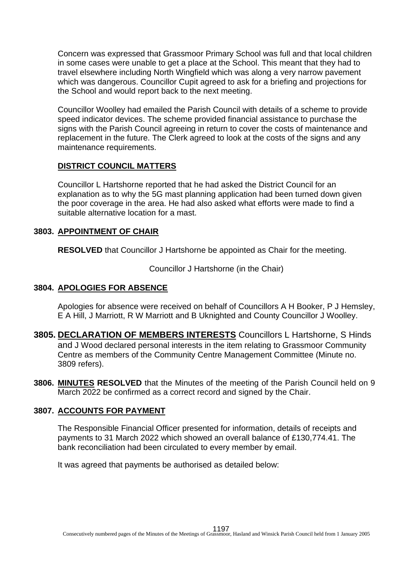Concern was expressed that Grassmoor Primary School was full and that local children in some cases were unable to get a place at the School. This meant that they had to travel elsewhere including North Wingfield which was along a very narrow pavement which was dangerous. Councillor Cupit agreed to ask for a briefing and projections for the School and would report back to the next meeting.

Councillor Woolley had emailed the Parish Council with details of a scheme to provide speed indicator devices. The scheme provided financial assistance to purchase the signs with the Parish Council agreeing in return to cover the costs of maintenance and replacement in the future. The Clerk agreed to look at the costs of the signs and any maintenance requirements.

## **DISTRICT COUNCIL MATTERS**

Councillor L Hartshorne reported that he had asked the District Council for an explanation as to why the 5G mast planning application had been turned down given the poor coverage in the area. He had also asked what efforts were made to find a suitable alternative location for a mast.

## **3803. APPOINTMENT OF CHAIR**

**RESOLVED** that Councillor J Hartshorne be appointed as Chair for the meeting.

Councillor J Hartshorne (in the Chair)

# **3804. APOLOGIES FOR ABSENCE**

Apologies for absence were received on behalf of Councillors A H Booker, P J Hemsley, E A Hill, J Marriott, R W Marriott and B Uknighted and County Councillor J Woolley.

- **3805. DECLARATION OF MEMBERS INTERESTS** Councillors L Hartshorne, S Hinds and J Wood declared personal interests in the item relating to Grassmoor Community Centre as members of the Community Centre Management Committee (Minute no. 3809 refers).
- **3806. MINUTES RESOLVED** that the Minutes of the meeting of the Parish Council held on 9 March 2022 be confirmed as a correct record and signed by the Chair.

# **3807. ACCOUNTS FOR PAYMENT**

The Responsible Financial Officer presented for information, details of receipts and payments to 31 March 2022 which showed an overall balance of £130,774.41. The bank reconciliation had been circulated to every member by email.

It was agreed that payments be authorised as detailed below: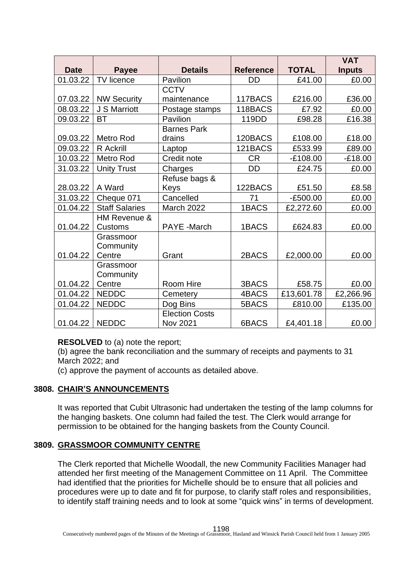|             |                       |                       |                  |              | <b>VAT</b>    |
|-------------|-----------------------|-----------------------|------------------|--------------|---------------|
| <b>Date</b> | <b>Payee</b>          | <b>Details</b>        | <b>Reference</b> | <b>TOTAL</b> | <b>Inputs</b> |
| 01.03.22    | TV licence            | Pavilion              | <b>DD</b>        | £41.00       | £0.00         |
|             |                       | <b>CCTV</b>           |                  |              |               |
| 07.03.22    | <b>NW Security</b>    | maintenance           | 117BACS          | £216.00      | £36.00        |
| 08.03.22    | J S Marriott          | Postage stamps        | 118BACS          | £7.92        | £0.00         |
| 09.03.22    | <b>BT</b>             | Pavilion              | 119DD            | £98.28       | £16.38        |
|             |                       | <b>Barnes Park</b>    |                  |              |               |
| 09.03.22    | <b>Metro Rod</b>      | drains                | 120BACS          | £108.00      | £18.00        |
| 09.03.22    | <b>R</b> Ackrill      | Laptop                | 121BACS          | £533.99      | £89.00        |
| 10.03.22    | <b>Metro Rod</b>      | Credit note           | <b>CR</b>        | $-£108.00$   | $-£18.00$     |
| 31.03.22    | <b>Unity Trust</b>    | Charges               | <b>DD</b>        | £24.75       | £0.00         |
|             |                       | Refuse bags &         |                  |              |               |
| 28.03.22    | A Ward                | Keys                  | 122BACS          | £51.50       | £8.58         |
| 31.03.22    | Cheque 071            | Cancelled             | 71               | $-E500.00$   | £0.00         |
| 01.04.22    | <b>Staff Salaries</b> | March 2022            | 1BACS            | £2,272.60    | £0.00         |
|             | HM Revenue &          |                       |                  |              |               |
| 01.04.22    | Customs               | <b>PAYE</b> - March   | 1BACS            | £624.83      | £0.00         |
|             | Grassmoor             |                       |                  |              |               |
|             | Community             |                       |                  |              |               |
| 01.04.22    | Centre                | Grant                 | 2BACS            | £2,000.00    | £0.00         |
|             | Grassmoor             |                       |                  |              |               |
|             | Community             |                       |                  |              |               |
| 01.04.22    | Centre                | Room Hire             | 3BACS            | £58.75       | £0.00         |
| 01.04.22    | <b>NEDDC</b>          | Cemetery              | 4BACS            | £13,601.78   | £2,266.96     |
| 01.04.22    | <b>NEDDC</b>          | Dog Bins              | 5BACS            | £810.00      | £135.00       |
|             |                       | <b>Election Costs</b> |                  |              |               |
| 01.04.22    | <b>NEDDC</b>          | <b>Nov 2021</b>       | 6BACS            | £4,401.18    | £0.00         |

**RESOLVED** to (a) note the report;

(b) agree the bank reconciliation and the summary of receipts and payments to 31 March 2022; and

(c) approve the payment of accounts as detailed above.

## **3808. CHAIR'S ANNOUNCEMENTS**

It was reported that Cubit Ultrasonic had undertaken the testing of the lamp columns for the hanging baskets. One column had failed the test. The Clerk would arrange for permission to be obtained for the hanging baskets from the County Council.

## **3809. GRASSMOOR COMMUNITY CENTRE**

The Clerk reported that Michelle Woodall, the new Community Facilities Manager had attended her first meeting of the Management Committee on 11 April. The Committee had identified that the priorities for Michelle should be to ensure that all policies and procedures were up to date and fit for purpose, to clarify staff roles and responsibilities, to identify staff training needs and to look at some "quick wins" in terms of development.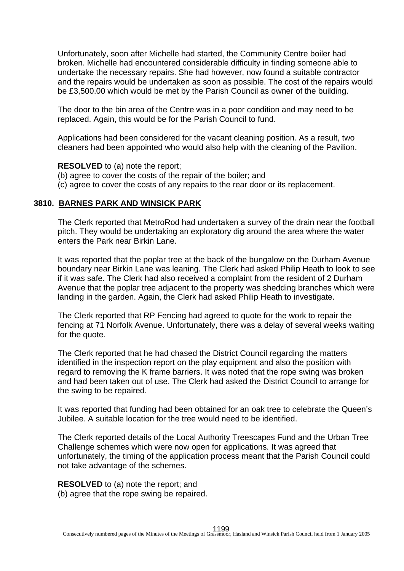Unfortunately, soon after Michelle had started, the Community Centre boiler had broken. Michelle had encountered considerable difficulty in finding someone able to undertake the necessary repairs. She had however, now found a suitable contractor and the repairs would be undertaken as soon as possible. The cost of the repairs would be £3,500.00 which would be met by the Parish Council as owner of the building.

The door to the bin area of the Centre was in a poor condition and may need to be replaced. Again, this would be for the Parish Council to fund.

Applications had been considered for the vacant cleaning position. As a result, two cleaners had been appointed who would also help with the cleaning of the Pavilion.

#### **RESOLVED** to (a) note the report;

- (b) agree to cover the costs of the repair of the boiler; and
- (c) agree to cover the costs of any repairs to the rear door or its replacement.

#### **3810. BARNES PARK AND WINSICK PARK**

The Clerk reported that MetroRod had undertaken a survey of the drain near the football pitch. They would be undertaking an exploratory dig around the area where the water enters the Park near Birkin Lane.

It was reported that the poplar tree at the back of the bungalow on the Durham Avenue boundary near Birkin Lane was leaning. The Clerk had asked Philip Heath to look to see if it was safe. The Clerk had also received a complaint from the resident of 2 Durham Avenue that the poplar tree adjacent to the property was shedding branches which were landing in the garden. Again, the Clerk had asked Philip Heath to investigate.

The Clerk reported that RP Fencing had agreed to quote for the work to repair the fencing at 71 Norfolk Avenue. Unfortunately, there was a delay of several weeks waiting for the quote.

The Clerk reported that he had chased the District Council regarding the matters identified in the inspection report on the play equipment and also the position with regard to removing the K frame barriers. It was noted that the rope swing was broken and had been taken out of use. The Clerk had asked the District Council to arrange for the swing to be repaired.

It was reported that funding had been obtained for an oak tree to celebrate the Queen's Jubilee. A suitable location for the tree would need to be identified.

The Clerk reported details of the Local Authority Treescapes Fund and the Urban Tree Challenge schemes which were now open for applications. It was agreed that unfortunately, the timing of the application process meant that the Parish Council could not take advantage of the schemes.

**RESOLVED** to (a) note the report; and

(b) agree that the rope swing be repaired.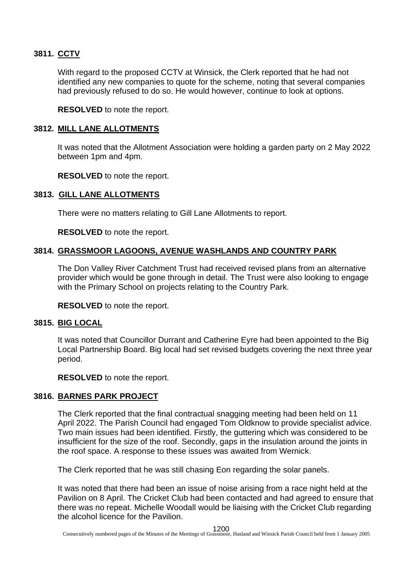# **3811. CCTV**

With regard to the proposed CCTV at Winsick, the Clerk reported that he had not identified any new companies to quote for the scheme, noting that several companies had previously refused to do so. He would however, continue to look at options.

**RESOLVED** to note the report.

### **3812. MILL LANE ALLOTMENTS**

It was noted that the Allotment Association were holding a garden party on 2 May 2022 between 1pm and 4pm.

**RESOLVED** to note the report.

### **3813. GILL LANE ALLOTMENTS**

There were no matters relating to Gill Lane Allotments to report.

**RESOLVED** to note the report.

## **3814. GRASSMOOR LAGOONS, AVENUE WASHLANDS AND COUNTRY PARK**

The Don Valley River Catchment Trust had received revised plans from an alternative provider which would be gone through in detail. The Trust were also looking to engage with the Primary School on projects relating to the Country Park.

**RESOLVED** to note the report.

## **3815. BIG LOCAL**

It was noted that Councillor Durrant and Catherine Eyre had been appointed to the Big Local Partnership Board. Big local had set revised budgets covering the next three year period.

**RESOLVED** to note the report.

## **3816. BARNES PARK PROJECT**

The Clerk reported that the final contractual snagging meeting had been held on 11 April 2022. The Parish Council had engaged Tom Oldknow to provide specialist advice. Two main issues had been identified. Firstly, the guttering which was considered to be insufficient for the size of the roof. Secondly, gaps in the insulation around the joints in the roof space. A response to these issues was awaited from Wernick.

The Clerk reported that he was still chasing Eon regarding the solar panels.

It was noted that there had been an issue of noise arising from a race night held at the Pavilion on 8 April. The Cricket Club had been contacted and had agreed to ensure that there was no repeat. Michelle Woodall would be liaising with the Cricket Club regarding the alcohol licence for the Pavilion.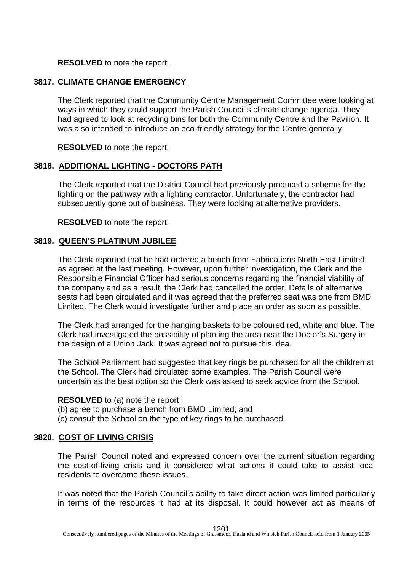## **RESOLVED** to note the report.

### **3817. CLIMATE CHANGE EMERGENCY**

The Clerk reported that the Community Centre Management Committee were looking at ways in which they could support the Parish Council's climate change agenda. They had agreed to look at recycling bins for both the Community Centre and the Pavilion. It was also intended to introduce an eco-friendly strategy for the Centre generally.

**RESOLVED** to note the report.

## **3818. ADDITIONAL LIGHTING - DOCTORS PATH**

The Clerk reported that the District Council had previously produced a scheme for the lighting on the pathway with a lighting contractor. Unfortunately, the contractor had subsequently gone out of business. They were looking at alternative providers.

**RESOLVED** to note the report.

## **3819. QUEEN'S PLATINUM JUBILEE**

The Clerk reported that he had ordered a bench from Fabrications North East Limited as agreed at the last meeting. However, upon further investigation, the Clerk and the Responsible Financial Officer had serious concerns regarding the financial viability of the company and as a result, the Clerk had cancelled the order. Details of alternative seats had been circulated and it was agreed that the preferred seat was one from BMD Limited. The Clerk would investigate further and place an order as soon as possible.

The Clerk had arranged for the hanging baskets to be coloured red, white and blue. The Clerk had investigated the possibility of planting the area near the Doctor's Surgery in the design of a Union Jack. It was agreed not to pursue this idea.

The School Parliament had suggested that key rings be purchased for all the children at the School. The Clerk had circulated some examples. The Parish Council were uncertain as the best option so the Clerk was asked to seek advice from the School.

#### **RESOLVED** to (a) note the report;

- (b) agree to purchase a bench from BMD Limited; and
- (c) consult the School on the type of key rings to be purchased.

## **3820. COST OF LIVING CRISIS**

The Parish Council noted and expressed concern over the current situation regarding the cost-of-living crisis and it considered what actions it could take to assist local residents to overcome these issues.

It was noted that the Parish Council's ability to take direct action was limited particularly in terms of the resources it had at its disposal. It could however act as means of